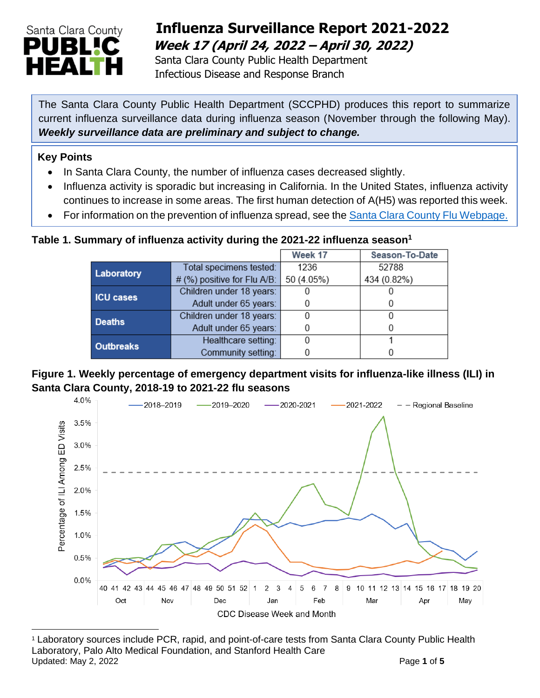

## **Influenza Surveillance Report 2021-2022 Week 17 (April 24, 2022 – April 30, 2022)**

 Santa Clara County Public Health Department Infectious Disease and Response Branch

The Santa Clara County Public Health Department (SCCPHD) produces this report to summarize current influenza surveillance data during influenza season (November through the following May). *Weekly surveillance data are preliminary and subject to change.*

#### **Key Points**

- In Santa Clara County, the number of influenza cases decreased slightly.
- Influenza activity is sporadic but increasing in California. In the United States, influenza activity continues to increase in some areas. The first human detection of A(H5) was reported this week.
- For information on the prevention of influenza spread, see the [Santa Clara County Flu Webpage.](https://publichealth.sccgov.org/disease-information/influenza-flu)

#### **Table 1. Summary of influenza activity during the 2021-22 influenza season<sup>1</sup>**

|                  |                             | Week 17    | Season-To-Date |
|------------------|-----------------------------|------------|----------------|
| Laboratory       | Total specimens tested:     | 1236       | 52788          |
|                  | # (%) positive for Flu A/B: | 50 (4.05%) | 434 (0.82%)    |
| <b>ICU cases</b> | Children under 18 years:    |            |                |
|                  | Adult under 65 years:       |            |                |
| <b>Deaths</b>    | Children under 18 years:    |            |                |
|                  | Adult under 65 years:       |            |                |
| <b>Outbreaks</b> | Healthcare setting:         |            |                |
|                  | Community setting:          |            |                |

#### **Figure 1. Weekly percentage of emergency department visits for influenza-like illness (ILI) in Santa Clara County, 2018-19 to 2021-22 flu seasons**



<sup>1</sup> Laboratory sources include PCR, rapid, and point-of-care tests from Santa Clara County Public Health Laboratory, Palo Alto Medical Foundation, and Stanford Health Care Updated: May 2, 2022 **Page 1** of **5**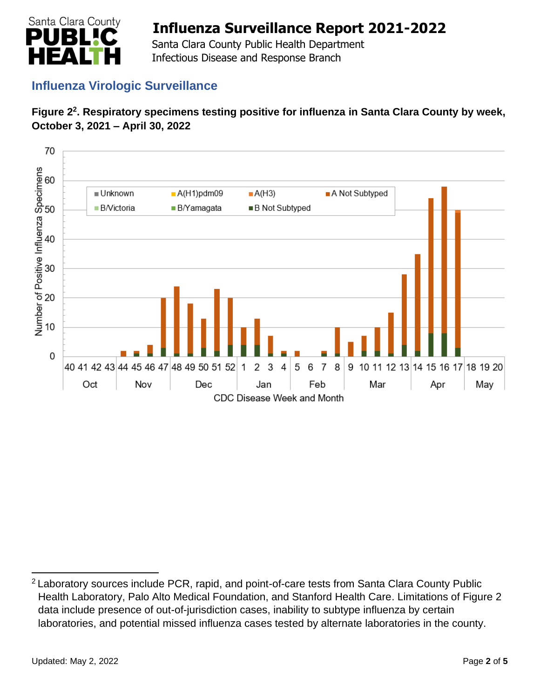

 Santa Clara County Public Health Department Infectious Disease and Response Branch

## **Influenza Virologic Surveillance**





<sup>&</sup>lt;sup>2</sup> Laboratory sources include PCR, rapid, and point-of-care tests from Santa Clara County Public Health Laboratory, Palo Alto Medical Foundation, and Stanford Health Care. Limitations of Figure 2 data include presence of out-of-jurisdiction cases, inability to subtype influenza by certain laboratories, and potential missed influenza cases tested by alternate laboratories in the county.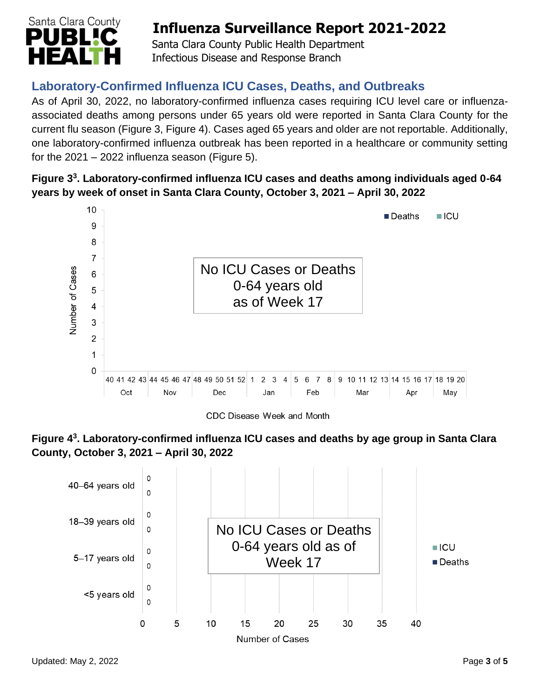

 Santa Clara County Public Health Department Infectious Disease and Response Branch

## **Laboratory-Confirmed Influenza ICU Cases, Deaths, and Outbreaks**

As of April 30, 2022, no laboratory-confirmed influenza cases requiring ICU level care or influenzaassociated deaths among persons under 65 years old were reported in Santa Clara County for the current flu season (Figure 3, Figure 4). Cases aged 65 years and older are not reportable. Additionally, one laboratory-confirmed influenza outbreak has been reported in a healthcare or community setting for the  $2021 - 2022$  influenza season (Figure 5).

#### **Figure 3 3 . Laboratory-confirmed influenza ICU cases and deaths among individuals aged 0-64 years by week of onset in Santa Clara County, October 3, 2021 – April 30, 2022**



CDC Disease Week and Month



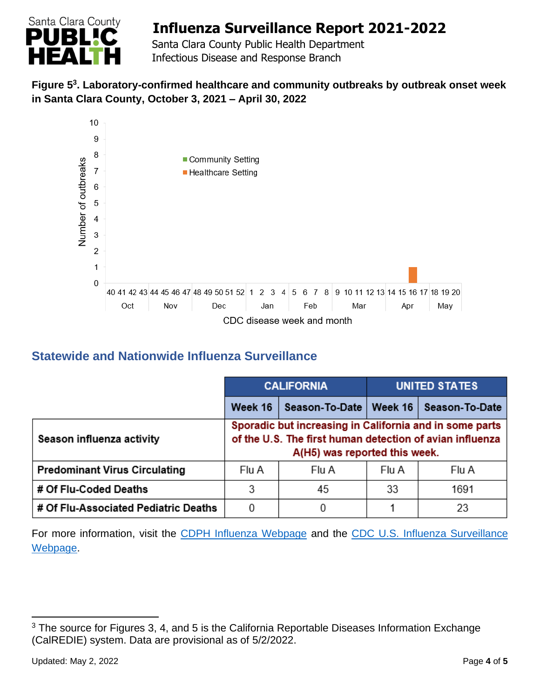

 Santa Clara County Public Health Department Infectious Disease and Response Branch

#### **Figure 5 3 . Laboratory-confirmed healthcare and community outbreaks by outbreak onset week in Santa Clara County, October 3, 2021 – April 30, 2022**



## **Statewide and Nationwide Influenza Surveillance**

|                                      | <b>CALIFORNIA</b> |                                                                                                                                                      | <b>UNITED STATES</b> |                       |
|--------------------------------------|-------------------|------------------------------------------------------------------------------------------------------------------------------------------------------|----------------------|-----------------------|
|                                      | Week 16           | Season-To-Date                                                                                                                                       | Week $16$            | <b>Season-To-Date</b> |
| Season influenza activity            |                   | Sporadic but increasing in California and in some parts<br>of the U.S. The first human detection of avian influenza<br>A(H5) was reported this week. |                      |                       |
| <b>Predominant Virus Circulating</b> | Flu A             | Flu A                                                                                                                                                | Flu A                | Flu A                 |
| # Of Flu-Coded Deaths                | 3                 | 45                                                                                                                                                   | 33                   | 1691                  |
| # Of Flu-Associated Pediatric Deaths | 0                 | 0                                                                                                                                                    |                      | 23                    |

For more information, visit the [CDPH Influenza Webpage](http://www.cdph.ca.gov/Programs/CID/DCDC/Pages/Immunization/Influenza.aspx) and the [CDC U.S. Influenza Surveillance](http://www.cdc.gov/flu/weekly/)  [Webpage.](http://www.cdc.gov/flu/weekly/)

<sup>&</sup>lt;sup>3</sup> The source for Figures 3, 4, and 5 is the California Reportable Diseases Information Exchange (CalREDIE) system. Data are provisional as of 5/2/2022.